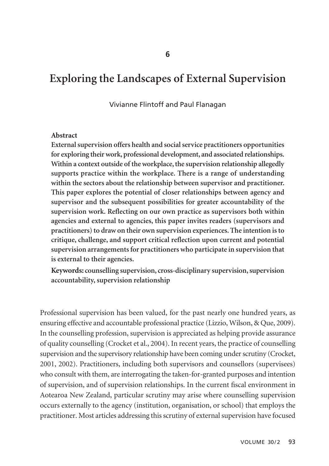# **Exploring the Landscapes of External Supervision**

#### Vivianne Flintoff and Paul Flanagan

#### **Abstract**

**External supervision offers health and social service practitioners opportunities for exploring their work, professional development, and associated relationships. Within a context outside of the workplace, the supervision relationship allegedly supports practice within the workplace. There is a range of understanding within the sectors about the relationship between supervisor and practitioner. This paper explores the potential of closer relationships between agency and supervisor and the subsequent possibilities for greater accountability of the supervision work. Reflecting on our own practice as supervisors both within agencies and external to agencies, this paper invites readers (supervisors and practitioners) to draw on their own supervision experiences. The intention is to critique, challenge, and support critical reflection upon current and potential supervision arrangements for practitioners who participate in supervision that is external to their agencies.**

**Keywords: counselling supervision, cross-disciplinary supervision, supervision accountability, supervision relationship** 

Professional supervision has been valued, for the past nearly one hundred years, as ensuring effective and accountable professional practice (Lizzio, Wilson, & Que, 2009). In the counselling profession, supervision is appreciated as helping provide assurance of quality counselling (Crocket et al., 2004). In recent years, the practice of counselling supervision and the supervisory relationship have been coming under scrutiny (Crocket, 2001, 2002). Practitioners, including both supervisors and counsellors (supervisees) who consult with them, are interrogating the taken-for-granted purposes and intention of supervision, and of supervision relationships. In the current fiscal environment in Aotearoa New Zealand, particular scrutiny may arise where counselling supervision occurs externally to the agency (institution, organisation, or school) that employs the practitioner. Most articles addressing this scrutiny of external supervision have focused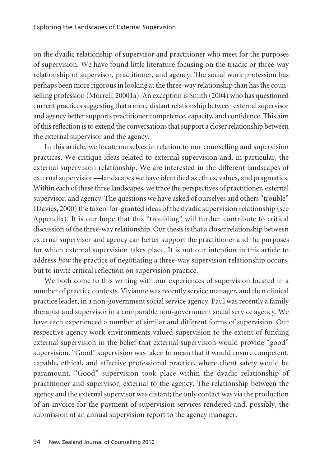on the dyadic relationship of supervisor and practitioner who meet for the purposes of supervision. We have found little literature focusing on the triadic or three-way relationship of supervisor, practitioner, and agency. The social work profession has perhaps been more rigorous in looking at the three-way relationship than has the counselling profession (Morrell, 20001a). An exception is Smith (2004) who has questioned current practices suggesting that a more distant relationship between external supervisor and agency better supports practitioner competence, capacity, and confidence. This aim of this reflection is to extend the conversations that support a closer relationship between the external supervisor and the agency.

In this article, we locate ourselves in relation to our counselling and supervision practices. We critique ideas related to external supervision and, in particular, the external supervision relationship. We are interested in the different landscapes of external supervision—landscapes we have identified as ethics, values, and pragmatics. Within each of these three landscapes, we trace the perspectives of practitioner, external supervisor, and agency. The questions we have asked of ourselves and others "trouble" (Davies, 2000) the taken-for-granted ideas of the dyadic supervision relationship (see Appendix). It is our hope that this "troubling" will further contribute to critical discussion of the three-way relationship. Our thesis is that a closer relationship between external supervisor and agency can better support the practitioner and the purposes for which external supervision takes place. It is not our intention in this article to address *how* the practice of negotiating a three-way supervision relationship occurs, but to invite critical reflection on supervision practice.

We both come to this writing with our experiences of supervision located in a number of practice contexts. Vivianne was recently service manager, and then clinical practice leader, in a non-government social service agency. Paul was recently a family therapist and supervisor in a comparable non-government social service agency. We have each experienced a number of similar and different forms of supervision. Our respective agency work environments valued supervision to the extent of funding external supervision in the belief that external supervision would provide "good" supervision. "Good" supervision was taken to mean that it would ensure competent, capable, ethical, and effective professional practice, where client safety would be paramount. "Good" supervision took place within the dyadic relationship of practitioner and supervisor, external to the agency. The relationship between the agency and the external supervisor was distant; the only contact was via the production of an invoice for the payment of supervision services rendered and, possibly, the submission of an annual supervision report to the agency manager.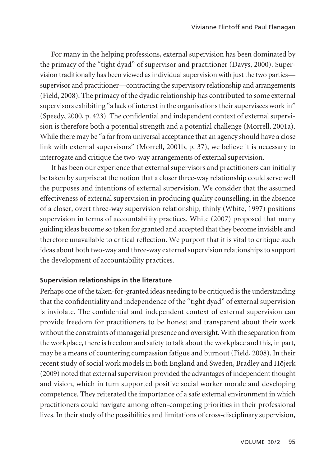For many in the helping professions, external supervision has been dominated by the primacy of the "tight dyad" of supervisor and practitioner (Davys, 2000). Super vision traditionally has been viewed as individual supervision with just the two parties supervisor and practitioner—contracting the supervisory relationship and arrangements (Field, 2008). The primacy of the dyadic relationship has contributed to some external supervisors exhibiting "a lack of interest in the organisations their supervisees work in" (Speedy, 2000, p. 423). The confidential and independent context of external supervision is therefore both a potential strength and a potential challenge (Morrell, 2001a). While there may be "a far from universal acceptance that an agency should have a close link with external supervisors" (Morrell, 2001b, p. 37), we believe it is necessary to interrogate and critique the two-way arrangements of external supervision.

It has been our experience that external supervisors and practitioners can initially be taken by surprise at the notion that a closer three-way relationship could serve well the purposes and intentions of external supervision. We consider that the assumed effectiveness of external supervision in producing quality counselling, in the absence of a closer, overt three-way supervision relationship, thinly (White, 1997) positions supervision in terms of accountability practices. White (2007) proposed that many guiding ideas become so taken for granted and accepted that they become invisible and therefore unavailable to critical reflection. We purport that it is vital to critique such ideas about both two-way and three-way external supervision relationships to support the development of accountability practices.

#### **Supervision relationships in the literature**

Perhaps one of the taken-for-granted ideas needing to be critiqued is the understanding that the confidentiality and independence of the "tight dyad" of external supervision is inviolate. The confidential and independent context of external supervision can provide freedom for practitioners to be honest and transparent about their work without the constraints of managerial presence and oversight. With the separation from the workplace, there is freedom and safety to talk about the workplace and this, in part, may be a means of countering compassion fatigue and burnout (Field, 2008). In their recent study of social work models in both England and Sweden, Bradley and Höjerk (2009) noted that external supervision provided the advantages of independent thought and vision, which in turn supported positive social worker morale and developing competence. They reiterated the importance of a safe external environment in which practitioners could navigate among often-competing priorities in their professional lives. In their study of the possibilities and limitations of cross-disciplinary supervision,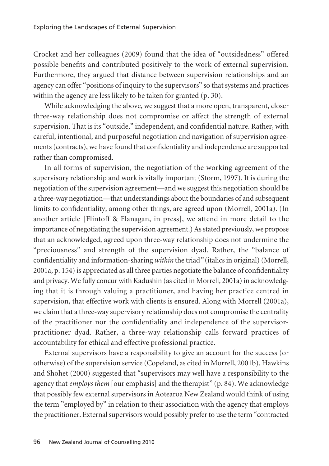Crocket and her colleagues (2009) found that the idea of "outsidedness" offered possible benefits and contributed positively to the work of external supervision. Furthermore, they argued that distance between supervision relationships and an agency can offer "positions of inquiry to the supervisors" so that systems and practices within the agency are less likely to be taken for granted (p. 30).

While acknowledging the above, we suggest that a more open, transparent, closer three-way relationship does not compromise or affect the strength of external supervision. That is its "outside," independent, and confidential nature. Rather, with careful, intentional, and purposeful negotiation and navigation of supervision agree ments (contracts), we have found that confidentiality and independence are supported rather than compromised.

In all forms of supervision, the negotiation of the working agreement of the supervisory relationship and work is vitally important (Storm, 1997). It is during the negotiation of the supervision agreement—and we suggest this negotiation should be a three-way negotiation—that understandings about the boundaries of and subsequent limits to confidentiality, among other things, are agreed upon (Morrell, 2001a). (In another article [Flintoff & Flanagan, in press], we attend in more detail to the importance of negotiating the supervision agreement.) As stated previously, we propose that an acknowledged, agreed upon three-way relationship does not undermine the "preciousness" and strength of the supervision dyad. Rather, the "balance of confidentiality and information-sharing *within* the triad*"* (italics in original) (Morrell, 2001a, p. 154) is appreciated as all three parties negotiate the balance of confidentiality and privacy. We fully concur with Kadushin (as cited in Morrell, 2001a) in acknowledging that it is through valuing a practitioner, and having her practice centred in supervision, that effective work with clients is ensured. Along with Morrell (2001a), we claim that a three-way supervisory relationship does not compromise the centrality of the practitioner nor the confidentiality and independence of the supervisorpractitioner dyad. Rather, a three-way relationship calls forward practices of accountability for ethical and effective professional practice.

External supervisors have a responsibility to give an account for the success (or otherwise) of the supervision service (Copeland, as cited in Morrell, 2001b). Hawkins and Shohet (2000) suggested that "supervisors may well have a responsibility to the agency that *employs them* [our emphasis] and the therapist" (p. 84). We acknowledge that possibly few external supervisors in Aotearoa New Zealand would think of using the term "employed by" in relation to their association with the agency that employs the practitioner. External supervisors would possibly prefer to use the term "contracted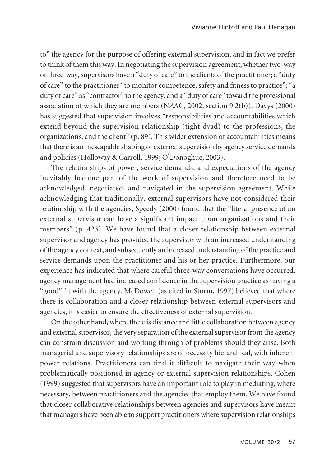to" the agency for the purpose of offering external supervision, and in fact we prefer to think of them this way. In negotiating the supervision agreement, whether two-way or three-way, supervisors have a "duty of care" to the clients of the practitioner; a "duty of care" to the practitioner "to monitor competence, safety and fitness to practice"; "a duty of care" as "contractor" to the agency, and a "duty of care" toward the professional association of which they are members (NZAC, 2002, section 9.2(b)). Davys (2000) has suggested that supervision involves "responsibilities and accountabilities which extend beyond the supervision relationship (tight dyad) to the professions, the organizations, and the client" (p. 89). This wider extension of accountabilities means that there is an inescapable shaping of external supervision by agency service demands and policies (Holloway & Carroll, 1999; O'Donoghue, 2003).

The relationships of power, service demands, and expectations of the agency inevitably become part of the work of supervision and therefore need to be acknowledged, negotiated, and navigated in the supervision agreement. While acknowledging that traditionally, external supervisors have not considered their relationship with the agencies, Speedy (2000) found that the "literal presence of an external supervisor can have a significant impact upon organizations and their members" (p. 423). We have found that a closer relationship between external supervisor and agency has provided the supervisor with an increased understanding of the agency context, and subsequently an increased understanding of the practice and service demands upon the practitioner and his or her practice. Furthermore, our experience has indicated that where careful three-way conversations have occurred, agency management had increased confidence in the supervision practice as having a "good" fit with the agency. McDowell (as cited in Storm, 1997) believed that where there is collaboration and a closer relationship between external supervisors and agencies, it is easier to ensure the effectiveness of external supervision.

On the other hand, where there is distance and little collaboration between agency and external supervisor, the very separation of the external supervisor from the agency can constrain discussion and working through of problems should they arise. Both managerial and supervisory relationships are of necessity hierarchical, with inherent power relations. Practitioners can find it difficult to navigate their way when problematically positioned in agency or external supervision relationships. Cohen (1999) suggested that supervisors have an important role to play in mediating, where necessary, between practitioners and the agencies that employ them. We have found that closer collaborative relationships between agencies and supervisors have meant that managers have been able to support practitioners where supervision relationships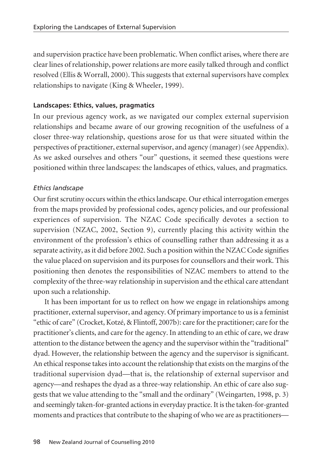and supervision practice have been problematic. When conflict arises, where there are clear lines of relationship, power relations are more easily talked through and conflict resolved (Ellis & Worrall, 2000). This suggests that external supervisors have complex relationships to navigate (King & Wheeler, 1999).

#### **Landscapes: Ethics, values, pragmatics**

In our previous agency work, as we navigated our complex external supervision relationships and became aware of our growing recognition of the usefulness of a closer three-way relationship, questions arose for us that were situated within the perspectives of practitioner, external supervisor, and agency (manager) (see Appendix). As we asked ourselves and others "our" questions, it seemed these questions were positioned within three landscapes: the landscapes of ethics, values, and pragmatics.

## *Ethics landscape*

Our first scrutiny occurs within the ethics landscape. Our ethical interrogation emerges from the maps provided by professional codes, agency policies, and our professional experiences of supervision. The NZAC Code specifically devotes a section to supervision (NZAC, 2002, Section 9), currently placing this activity within the environment of the profession's ethics of counselling rather than addressing it as a separate activity, as it did before 2002. Such a position within the NZAC Code signifies the value placed on supervision and its purposes for counsellors and their work. This positioning then denotes the responsibilities of NZAC members to attend to the complexity of the three-way relationship in supervision and the ethical care attendant upon such a relationship.

It has been important for us to reflect on how we engage in relationships among practitioner, external supervisor, and agency. Of primary importance to us is a feminist "ethic of care" (Crocket, Kotzé, & Flintoff, 2007b): care for the practitioner; care for the practitioner's clients, and care for the agency. In attending to an ethic of care, we draw attention to the distance between the agency and the supervisor within the "traditional" dyad. However, the relationship between the agency and the supervisor is significant. An ethical response takes into account the relationship that exists on the margins of the traditional supervision dyad—that is, the relationship of external supervisor and agency—and reshapes the dyad as a three-way relationship. An ethic of care also suggests that we value attending to the "small and the ordinary" (Weingarten, 1998, p. 3) and seemingly taken-for-granted actions in everyday practice. It is the taken-for-granted moments and practices that contribute to the shaping of who we are as practitioners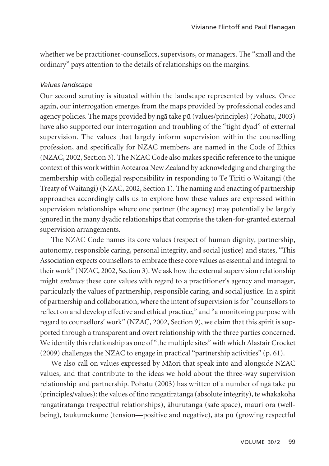whether we be practitioner-counsellors, supervisors, or managers. The "small and the ordinary" pays attention to the details of relationships on the margins.

#### *Values landscape*

Our second scrutiny is situated within the landscape represented by values. Once again, our interrogation emerges from the maps provided by professional codes and agency policies. The maps provided by ngä take pü (values/principles) (Pohatu, 2003) have also supported our interrogation and troubling of the "tight dyad" of external supervision. The values that largely inform supervision within the counselling profession, and specifically for NZAC members, are named in the Code of Ethics (NZAC, 2002, Section 3). The NZAC Code also makes specific reference to the unique context of this work within Aotearoa New Zealand by acknowledging and charging the membership with collegial responsibility in responding to Te Tiriti o Waitangi (the Treaty of Waitangi) (NZAC, 2002, Section 1). The naming and enacting of partnership approaches accordingly calls us to explore how these values are expressed within supervision relationships where one partner (the agency) may potentially be largely ignored in the many dyadic relationships that comprise the taken-for-granted external supervision arrangements.

The NZAC Code names its core values (respect of human dignity, partnership, autonomy, responsible caring, personal integrity, and social justice) and states, "This Association expects counsellors to embrace these core values as essential and integral to their work" (NZAC, 2002, Section 3). We ask how the external supervision relationship might *embrace* these core values with regard to a practitioner's agency and manager, particularly the values of partnership, responsible caring, and social justice. In a spirit of partnership and collaboration, where the intent of supervision is for "counsellors to reflect on and develop effective and ethical practice," and "a monitoring purpose with regard to counsellors' work" (NZAC, 2002, Section 9), we claim that this spirit is supported through a transparent and overt relationship with the three parties concerned. We identify this relationship as one of "the multiple sites" with which Alastair Crocket (2009) challenges the NZAC to engage in practical "partnership activities" (p. 61).

We also call on values expressed by Mäori that speak into and alongside NZAC values, and that contribute to the ideas we hold about the three-way supervision relationship and partnership. Pohatu (2003) has written of a number of ngä take pü (principles/values): the values of tino rangatiratanga (absolute integrity), te whakakoha rangatiratanga (respectful relationships), ähurutanga (safe space), mauri ora (wellbeing), taukumekume (tension—positive and negative), äta pü (growing respectful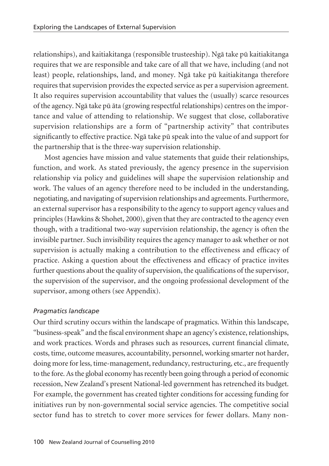relationships), and kaitiakitanga (responsible trusteeship). Ngä take pü kaitiakitanga requires that we are responsible and take care of all that we have, including (and not least) people, relationships, land, and money. Ngä take pü kaitiakitanga therefore requires that supervision provides the expected service as per a supervision agreement. It also requires supervision accountability that values the (usually) scarce resources of the agency. Ngä take pü äta (growing respectful relationships) centres on the impor tance and value of attending to relationship. We suggest that close, collaborative super vision relationships are a form of "partnership activity" that contributes significantly to effective practice. Ngä take pü speak into the value of and support for the partnership that is the three-way supervision relationship.

Most agencies have mission and value statements that guide their relationships, function, and work. As stated previously, the agency presence in the supervision relationship via policy and guidelines will shape the supervision relationship and work. The values of an agency therefore need to be included in the understanding, negotiating, and navigating of supervision relationships and agreements. Furthermore, an external supervisor has a responsibility to the agency to support agency values and principles (Hawkins & Shohet, 2000), given that they are contracted to the agency even though, with a traditional two-way supervision relationship, the agency is often the invisible partner. Such invisibility requires the agency manager to ask whether or not supervision is actually making a contribution to the effectiveness and efficacy of practice. Asking a question about the effectiveness and efficacy of practice invites further questions about the quality of supervision, the qualifications of the supervisor, the supervision of the supervisor, and the ongoing professional development of the supervisor, among others (see Appendix).

#### *Pragmatics landscape*

Our third scrutiny occurs within the landscape of pragmatics. Within this landscape, "business-speak" and the fiscal environment shape an agency's existence, relationships, and work practices. Words and phrases such as resources, current financial climate, costs, time, outcome measures, accountability, personnel, working smarter not harder, doing more for less, time-management, redundancy, restructuring, etc., are frequently to the fore. As the global economy has recently been going through a period of economic recession, New Zealand's present National-led government has retrenched its budget. For example, the government has created tighter conditions for accessing funding for initiatives run by non-governmental social service agencies. The competitive social sector fund has to stretch to cover more services for fewer dollars. Many non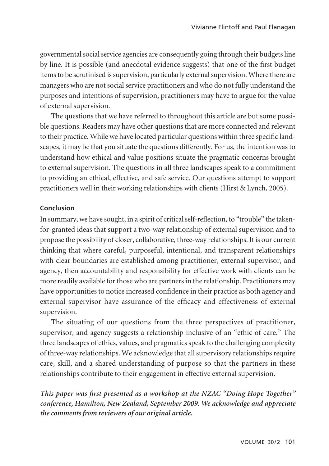governmental social service agencies are consequently going through their budgets line by line. It is possible (and anecdotal evidence suggests) that one of the first budget items to be scrutinised is supervision, particularly external supervision. Where there are managers who are not social service practitioners and who do not fully understand the purposes and intentions of supervision, practitioners may have to argue for the value of external supervision.

The questions that we have referred to throughout this article are but some possible questions. Readers may have other questions that are more connected and relevant to their practice. While we have located particular questions within three specific landscapes, it may be that you situate the questions differently. For us, the intention was to understand how ethical and value positions situate the pragmatic concerns brought to external supervision. The questions in all three landscapes speak to a commitment to providing an ethical, effective, and safe service. Our questions attempt to support practitioners well in their working relationships with clients (Hirst & Lynch, 2005).

#### **Conclusion**

In summary, we have sought, in a spirit of critical self-reflection, to "trouble" the takenfor-granted ideas that support a two-way relationship of external supervision and to propose the possibility of closer, collaborative, three-way relationships. It is our current thinking that where careful, purposeful, intentional, and transparent relationships with clear boundaries are established among practitioner, external supervisor, and agency, then accountability and responsibility for effective work with clients can be more readily available for those who are partners in the relationship. Practitioners may have opportunities to notice increased confidence in their practice as both agency and external supervisor have assurance of the efficacy and effectiveness of external supervision.

The situating of our questions from the three perspectives of practitioner, supervisor, and agency suggests a relationship inclusive of an "ethic of care." The three landscapes of ethics, values, and pragmatics speak to the challenging complexity of three-way relationships. We acknowledge that all supervisory relationships require care, skill, and a shared understanding of purpose so that the partners in these relationships contribute to their engagement in effective external supervision.

*This paper was first presented as a workshop at the NZAC "Doing Hope Together" conference, Hamilton, New Zealand, September 2009. We acknowledge and appreciate the comments from reviewers of our original article.*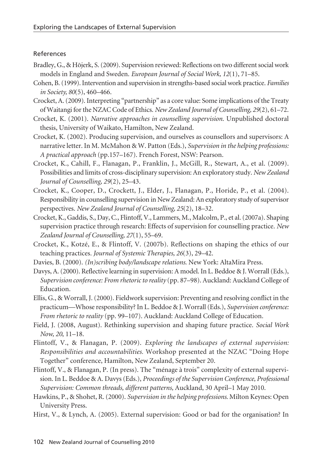#### References

- Bradley, G., & Höjerk, S. (2009). Supervision reviewed: Reflections on two different social work models in England and Sweden. *European Journal of Social Work, 12*(1), 71–85.
- Cohen, B. (1999). Intervention and supervision in strengths-based social work practice. *Families in Society, 80*(5), 460–466.
- Crocket, A. (2009). Interpreting "partnership" as a core value: Some implications of the Treaty of Waitangi for the NZAC Code of Ethics. *New Zealand Journal of Counselling, 29*(2), 61–72.
- Crocket, K. (2001). *Narrative approaches in counselling supervision*. Unpublished doctoral thesis, University of Waikato, Hamilton, New Zealand.
- Crocket, K. (2002). Producing supervision, and ourselves as counsellors and supervisors: A narrative letter. In M. McMahon & W. Patton (Eds.), *Supervision in the helping professions: A practical approach* (pp.157–167). French Forest, NSW: Pearson.
- Crocket, K., Cahill, F., Flanagan, P., Franklin, J., McGill, R., Stewart, A., et al. (2009). Possibilities and limits of cross-disciplinary supervision: An exploratory study. *New Zealand Journal of Counselling, 29*(2), 25–43.
- Crocket, K., Cooper, D., Crockett, J., Elder, J., Flanagan, P., Horide, P., et al. (2004). Responsibility in counselling supervision in New Zealand: An exploratory study of supervisor perspectives. *New Zealand Journal of Counselling, 25*(2), 18–32.
- Crocket, K., Gaddis, S., Day, C., Flintoff, V., Lammers, M., Malcolm, P., et al. (2007a). Shaping supervision practice through research: Effects of supervision for counselling practice. *New Zealand Journal of Counselling, 27*(1), 55–69.
- Crocket, K., Kotzé, E., & Flintoff, V. (2007b). Reflections on shaping the ethics of our teaching practices*. Journal of Systemic Therapies, 26*(3), 29–42.
- Davies, B. (2000). *(In)scribing body/landscape relations*. New York: AltaMira Press.
- Davys, A. (2000). Reflective learning in supervision: A model. In L. Beddoe & J. Worrall (Eds.), *Supervision conference: From rhetoric to reality* (pp. 87–98). Auckland: Auckland College of Education.
- Ellis, G., & Worrall, J. (2000). Fieldwork supervision: Preventing and resolving conflict in the practicum—Whose responsibility? In L. Beddoe & J. Worrall (Eds.), *Supervision conference: From rhetoric to reality* (pp. 99–107). Auckland: Auckland College of Education.
- Field, J. (2008, August). Rethinking supervision and shaping future practice. *Social Work Now, 20*, 11–18.
- Flintoff, V., & Flanagan, P. (2009). *Exploring the landscapes of external supervision: Responsibilities and accountabilities.* Workshop presented at the NZAC "Doing Hope Together" conference, Hamilton, New Zealand, September 20.
- Flintoff, V., & Flanagan, P. (In press). The "ménage à trois" complexity of external supervision. In L. Beddoe & A. Davys (Eds.), *Proceedings of the Supervision Conference, Professional Supervision: Common threads, different patterns,* Auckland, 30 April–1 May 2010.
- Hawkins, P., & Shohet, R. (2000). *Supervision in the helping professions*. Milton Keynes: Open University Press.
- Hirst, V., & Lynch, A. (2005). External supervision: Good or bad for the organisation? In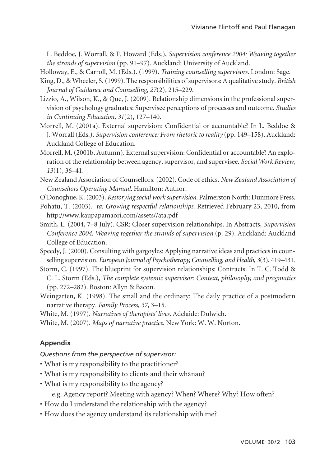L. Beddoe, J. Worrall, & F. Howard (Eds.), *Supervision conference 2004: Weaving together the strands of supervision* (pp. 91–97). Auckland: University of Auckland.

Holloway, E., & Carroll, M. (Eds.). (1999). *Training counselling supervisors.* London: Sage.

- King, D., & Wheeler, S. (1999). The responsibilities of supervisors: A qualitative study. *British Journal of Guidance and Counselling, 27*(2), 215–229.
- Lizzio, A., Wilson, K., & Que, J. (2009). Relationship dimensions in the professional supervision of psychology graduates: Supervisee perceptions of processes and outcome. *Studies in Continuing Education, 31*(2), 127–140.
- Morrell, M. (2001a). External supervision: Confidential or accountable? In L. Beddoe & J. Worrall (Eds.), *Supervision conference: From rhetoric to reality* (pp. 149–158). Auckland: Auckland College of Education.
- Morrell, M. (2001b, Autumn). External supervision: Confidential or accountable? An exploration of the relationship between agency, supervisor, and supervisee. *Social Work Review*, *13*(1), 36–41.
- New Zealand Association of Counsellors. (2002). Code of ethics. *New Zealand Association of Counsellors Operating Manual.* Hamilton: Author.

O'Donoghue, K. (2003). *Restorying social work supervision*. Palmerston North: Dunmore Press.

- Pohatu, T. (2003). *ta: Growing respectful relationships*. Retrieved February 23, 2010, from http://www.kaupapamaori.com/assets//ata.pdf
- Smith, L. (2004, 7–8 July). CSR: Closer supervision relationships. In Abstracts, *Supervision Conference 2004: Weaving together the strands of supervision* (p. 29). Auckland: Auckland College of Education.
- Speedy, J. (2000). Consulting with gargoyles: Applying narrative ideas and practices in counselling supervision. *European Journal of Psychotherapy, Counselling, and Health, 3*(3), 419–431.
- Storm, C. (1997). The blueprint for supervision relationships: Contracts. In T. C. Todd & C. L. Storm (Eds.), *The complete systemic supervisor: Context, philosophy, and pragmatics* (pp. 272–282). Boston: Allyn & Bacon.
- Weingarten, K. (1998). The small and the ordinary: The daily practice of a postmodern narrative therapy. *Family Process, 37*, 3–15.

White, M. (1997). *Narratives of therapists' lives*. Adelaide: Dulwich.

White, M. (2007). *Maps of narrative practice*. New York: W. W. Norton.

# **Appendix**

#### *Questions from the perspective of supervisor:*

- What is my responsibility to the practitioner?
- What is my responsibility to clients and their whänau?
- What is my responsibility to the agency?
	- e.g. Agency report? Meeting with agency? When? Where? Why? How often?
- How do I understand the relationship with the agency?
- How does the agency understand its relationship with me?